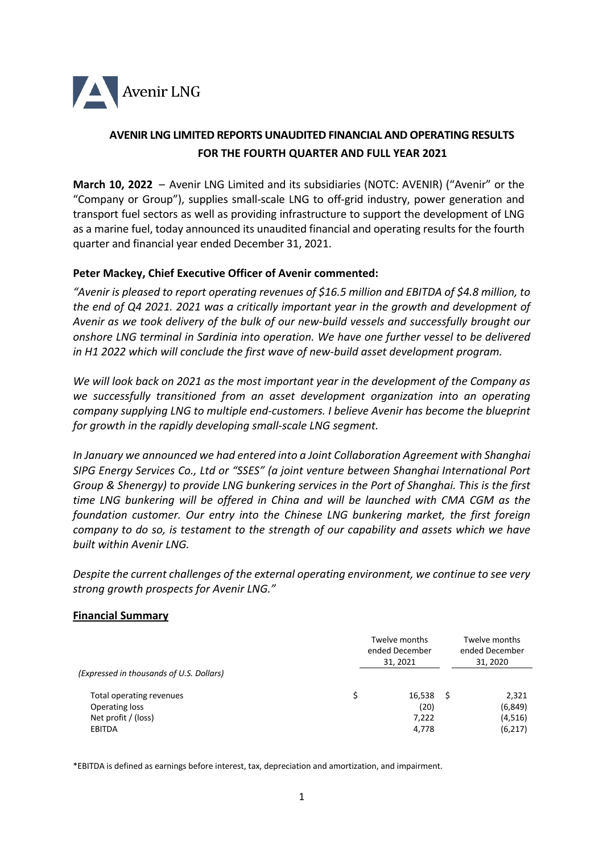

# **AVENIR LNG LIMITED REPORTS UNAUDITED FINANCIAL AND OPERATING RESULTS FOR THE FOURTH QUARTER AND FULL YEAR 2021**

**March 10, 2022** – Avenir LNG Limited and its subsidiaries (NOTC: AVENIR) ("Avenir" or the "Company or Group"), supplies small-scale LNG to off-grid industry, power generation and transport fuel sectors as well as providing infrastructure to support the development of LNG as a marine fuel, today announced its unaudited financial and operating results for the fourth quarter and financial year ended December 31, 2021.

## **Peter Mackey, Chief Executive Officer of Avenir commented:**

*"Avenir is pleased to report operating revenues of \$16.5 million and EBITDA of \$4.8 million, to the end of Q4 2021. 2021 was a critically important year in the growth and development of Avenir as we took delivery of the bulk of our new-build vessels and successfully brought our onshore LNG terminal in Sardinia into operation. We have one further vessel to be delivered in H1 2022 which will conclude the first wave of new-build asset development program.*

*We will look back on 2021 as the most important year in the development of the Company as we successfully transitioned from an asset development organization into an operating company supplying LNG to multiple end-customers. I believe Avenir has become the blueprint for growth in the rapidly developing small-scale LNG segment.*

*In January we announced we had entered into a Joint Collaboration Agreement with Shanghai SIPG Energy Services Co., Ltd or "SSES" (a joint venture between Shanghai International Port Group & Shenergy) to provide LNG bunkering services in the Port of Shanghai. This is the first time LNG bunkering will be offered in China and will be launched with CMA CGM as the foundation customer. Our entry into the Chinese LNG bunkering market, the first foreign company to do so, is testament to the strength of our capability and assets which we have built within Avenir LNG.*

*Despite the current challenges of the external operating environment, we continue to see very strong growth prospects for Avenir LNG."*

### **Financial Summary**

|                                          | Twelve months<br>ended December<br>31, 2021 |        | Twelve months<br>ended December<br>31, 2020 |  |
|------------------------------------------|---------------------------------------------|--------|---------------------------------------------|--|
| (Expressed in thousands of U.S. Dollars) |                                             |        |                                             |  |
| Total operating revenues                 | Ś                                           | 16,538 | 2,321                                       |  |
| Operating loss                           |                                             | (20)   | (6, 849)                                    |  |
| Net profit / (loss)                      |                                             | 7,222  | (4,516)                                     |  |
| <b>EBITDA</b>                            |                                             | 4,778  | (6, 217)                                    |  |

\*EBITDA is defined as earnings before interest, tax, depreciation and amortization, and impairment.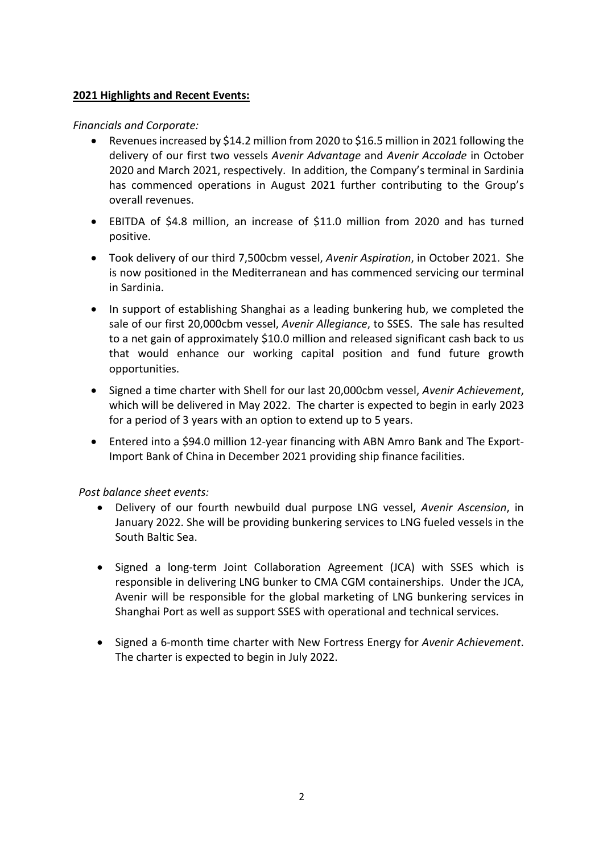## **2021 Highlights and Recent Events:**

### *Financials and Corporate:*

- Revenues increased by \$14.2 million from 2020 to \$16.5 million in 2021 following the delivery of our first two vessels *Avenir Advantage* and *Avenir Accolade* in October 2020 and March 2021, respectively. In addition, the Company's terminal in Sardinia has commenced operations in August 2021 further contributing to the Group's overall revenues.
- EBITDA of \$4.8 million, an increase of \$11.0 million from 2020 and has turned positive.
- Took delivery of our third 7,500cbm vessel, *Avenir Aspiration*, in October 2021. She is now positioned in the Mediterranean and has commenced servicing our terminal in Sardinia.
- In support of establishing Shanghai as a leading bunkering hub, we completed the sale of our first 20,000cbm vessel, *Avenir Allegiance*, to SSES. The sale has resulted to a net gain of approximately \$10.0 million and released significant cash back to us that would enhance our working capital position and fund future growth opportunities.
- Signed a time charter with Shell for our last 20,000cbm vessel, *Avenir Achievement*, which will be delivered in May 2022. The charter is expected to begin in early 2023 for a period of 3 years with an option to extend up to 5 years.
- Entered into a \$94.0 million 12-year financing with ABN Amro Bank and The Export-Import Bank of China in December 2021 providing ship finance facilities.

## *Post balance sheet events:*

- Delivery of our fourth newbuild dual purpose LNG vessel, *Avenir Ascension*, in January 2022. She will be providing bunkering services to LNG fueled vessels in the South Baltic Sea.
- Signed a long-term Joint Collaboration Agreement (JCA) with SSES which is responsible in delivering LNG bunker to CMA CGM containerships. Under the JCA, Avenir will be responsible for the global marketing of LNG bunkering services in Shanghai Port as well as support SSES with operational and technical services.
- Signed a 6-month time charter with New Fortress Energy for *Avenir Achievement*. The charter is expected to begin in July 2022.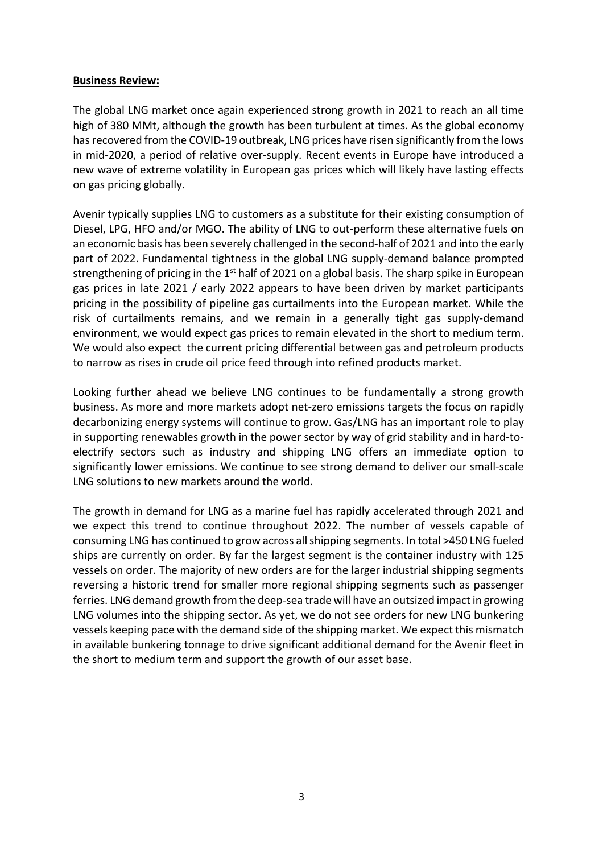### **Business Review:**

The global LNG market once again experienced strong growth in 2021 to reach an all time high of 380 MMt, although the growth has been turbulent at times. As the global economy has recovered from the COVID-19 outbreak, LNG prices have risen significantly from the lows in mid-2020, a period of relative over-supply. Recent events in Europe have introduced a new wave of extreme volatility in European gas prices which will likely have lasting effects on gas pricing globally.

Avenir typically supplies LNG to customers as a substitute for their existing consumption of Diesel, LPG, HFO and/or MGO. The ability of LNG to out-perform these alternative fuels on an economic basis has been severely challenged in the second-half of 2021 and into the early part of 2022. Fundamental tightness in the global LNG supply-demand balance prompted strengthening of pricing in the 1<sup>st</sup> half of 2021 on a global basis. The sharp spike in European gas prices in late 2021 / early 2022 appears to have been driven by market participants pricing in the possibility of pipeline gas curtailments into the European market. While the risk of curtailments remains, and we remain in a generally tight gas supply-demand environment, we would expect gas prices to remain elevated in the short to medium term. We would also expect the current pricing differential between gas and petroleum products to narrow as rises in crude oil price feed through into refined products market.

Looking further ahead we believe LNG continues to be fundamentally a strong growth business. As more and more markets adopt net-zero emissions targets the focus on rapidly decarbonizing energy systems will continue to grow. Gas/LNG has an important role to play in supporting renewables growth in the power sector by way of grid stability and in hard-toelectrify sectors such as industry and shipping LNG offers an immediate option to significantly lower emissions. We continue to see strong demand to deliver our small-scale LNG solutions to new markets around the world.

The growth in demand for LNG as a marine fuel has rapidly accelerated through 2021 and we expect this trend to continue throughout 2022. The number of vessels capable of consuming LNG has continued to grow across all shipping segments. In total >450 LNG fueled ships are currently on order. By far the largest segment is the container industry with 125 vessels on order. The majority of new orders are for the larger industrial shipping segments reversing a historic trend for smaller more regional shipping segments such as passenger ferries. LNG demand growth from the deep-sea trade will have an outsized impact in growing LNG volumes into the shipping sector. As yet, we do not see orders for new LNG bunkering vessels keeping pace with the demand side of the shipping market. We expect this mismatch in available bunkering tonnage to drive significant additional demand for the Avenir fleet in the short to medium term and support the growth of our asset base.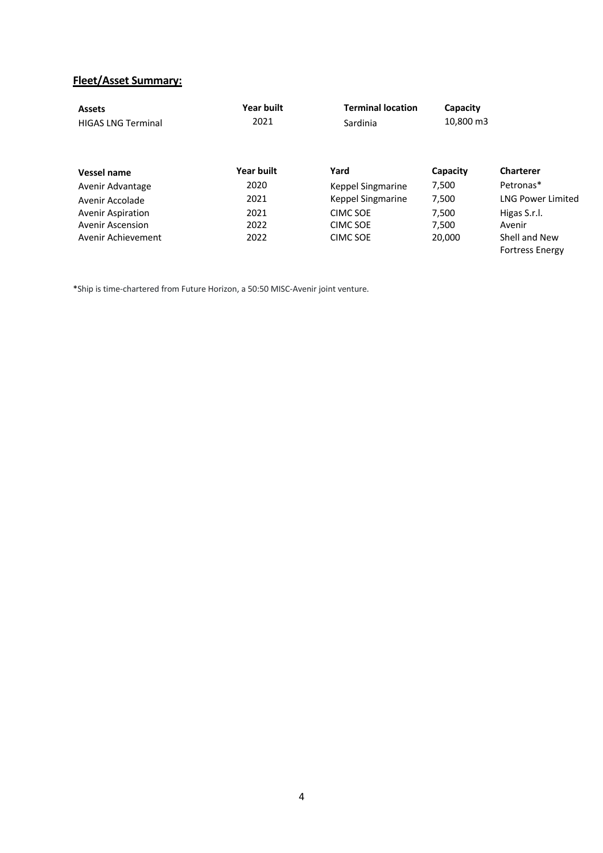# **Fleet/Asset Summary:**

| <b>Assets</b><br><b>HIGAS LNG Terminal</b> | Year built<br><b>Terminal location</b><br>2021<br>Sardinia |                   | Capacity<br>10,800 m3 |                                         |
|--------------------------------------------|------------------------------------------------------------|-------------------|-----------------------|-----------------------------------------|
| Vessel name                                | <b>Year built</b>                                          | Yard              | Capacity              | <b>Charterer</b>                        |
| Avenir Advantage                           | 2020                                                       | Keppel Singmarine | 7,500                 | Petronas*                               |
| Avenir Accolade                            | 2021                                                       | Keppel Singmarine | 7,500                 | <b>LNG Power Limited</b>                |
| <b>Avenir Aspiration</b>                   | 2021                                                       | CIMC SOE          | 7.500                 | Higas S.r.l.                            |
| Avenir Ascension                           | 2022                                                       | CIMC SOE          | 7.500                 | Avenir                                  |
| Avenir Achievement                         | 2022                                                       | <b>CIMC SOE</b>   | 20,000                | Shell and New<br><b>Fortress Energy</b> |

\*Ship is time-chartered from Future Horizon, a 50:50 MISC-Avenir joint venture.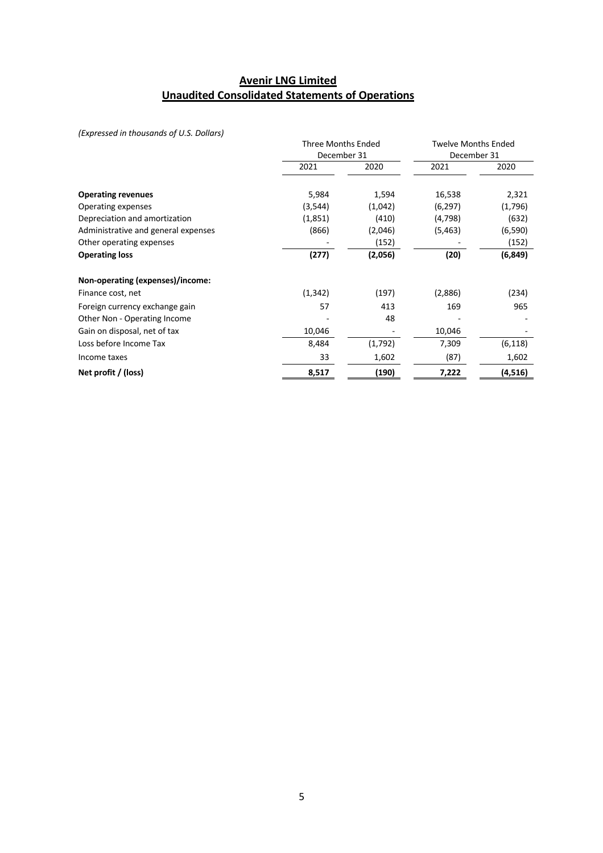## **Avenir LNG Limited Unaudited Consolidated Statements of Operations**

*(Expressed in thousands of U.S. Dollars)*

|                                     |          | <b>Three Months Ended</b><br>December 31 |         | <b>Twelve Months Ended</b> |  |  |
|-------------------------------------|----------|------------------------------------------|---------|----------------------------|--|--|
|                                     |          |                                          |         | December 31                |  |  |
|                                     | 2021     | 2020                                     | 2021    | 2020                       |  |  |
| <b>Operating revenues</b>           | 5,984    | 1,594                                    | 16,538  | 2,321                      |  |  |
| Operating expenses                  | (3,544)  | (1,042)                                  | (6,297) | (1,796)                    |  |  |
| Depreciation and amortization       | (1,851)  | (410)                                    | (4,798) | (632)                      |  |  |
| Administrative and general expenses | (866)    | (2,046)                                  | (5,463) | (6, 590)                   |  |  |
| Other operating expenses            |          | (152)                                    |         | (152)                      |  |  |
| <b>Operating loss</b>               | (277)    | (2,056)                                  | (20)    | (6, 849)                   |  |  |
| Non-operating (expenses)/income:    |          |                                          |         |                            |  |  |
| Finance cost, net                   | (1, 342) | (197)                                    | (2,886) | (234)                      |  |  |
| Foreign currency exchange gain      | 57       | 413                                      | 169     | 965                        |  |  |
| Other Non - Operating Income        |          | 48                                       |         |                            |  |  |
| Gain on disposal, net of tax        | 10,046   |                                          | 10,046  |                            |  |  |
| Loss before Income Tax              | 8,484    | (1,792)                                  | 7,309   | (6, 118)                   |  |  |
| Income taxes                        | 33       | 1,602                                    | (87)    | 1,602                      |  |  |
| Net profit / (loss)                 | 8,517    | (190)                                    | 7,222   | (4,516)                    |  |  |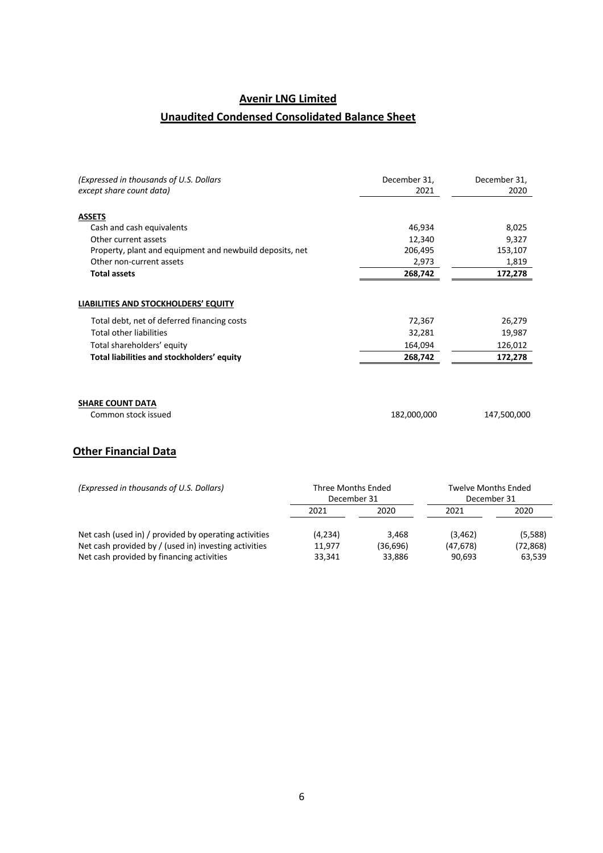# **Avenir LNG Limited**

# **Unaudited Condensed Consolidated Balance Sheet**

| (Expressed in thousands of U.S. Dollars                  | December 31, | December 31, |
|----------------------------------------------------------|--------------|--------------|
| except share count data)                                 | 2021         | 2020         |
| <b>ASSETS</b>                                            |              |              |
| Cash and cash equivalents                                | 46,934       | 8,025        |
| Other current assets                                     | 12,340       | 9,327        |
| Property, plant and equipment and newbuild deposits, net | 206,495      | 153,107      |
| Other non-current assets                                 | 2,973        | 1,819        |
| <b>Total assets</b>                                      | 268,742      | 172,278      |
| Total debt, net of deferred financing costs              | 72,367       | 26,279       |
|                                                          |              |              |
| <b>Total other liabilities</b>                           | 32,281       | 19,987       |
| Total shareholders' equity                               | 164,094      | 126,012      |
| Total liabilities and stockholders' equity               | 268,742      | 172,278      |
|                                                          |              |              |
| <b>SHARE COUNT DATA</b>                                  |              |              |
| Common stock issued                                      | 182,000,000  | 147,500,000  |

# **Other Financial Data**

| (Expressed in thousands of U.S. Dollars)              | Three Months Ended<br>December 31 |          | <b>Twelve Months Ended</b><br>December 31 |           |
|-------------------------------------------------------|-----------------------------------|----------|-------------------------------------------|-----------|
|                                                       | 2021                              | 2020     | 2021                                      | 2020      |
| Net cash (used in) / provided by operating activities | (4,234)                           | 3.468    | (3, 462)                                  | (5,588)   |
| Net cash provided by / (used in) investing activities | 11.977                            | (36,696) | (47, 678)                                 | (72, 868) |
| Net cash provided by financing activities             | 33,341                            | 33,886   | 90,693                                    | 63,539    |